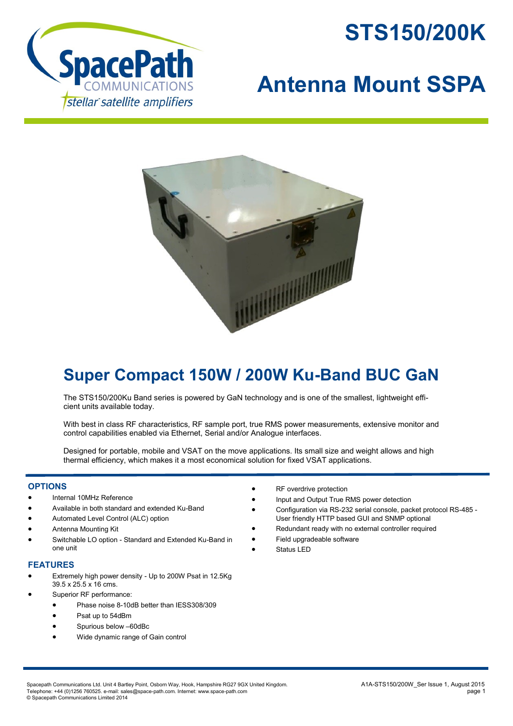



## **Antenna Mount SSPA**



## **Super Compact 150W / 200W Ku-Band BUC GaN**

The STS150/200Ku Band series is powered by GaN technology and is one of the smallest, lightweight efficient units available today.

With best in class RF characteristics, RF sample port, true RMS power measurements, extensive monitor and control capabilities enabled via Ethernet, Serial and/or Analogue interfaces.

Designed for portable, mobile and VSAT on the move applications. Its small size and weight allows and high thermal efficiency, which makes it a most economical solution for fixed VSAT applications.

## **OPTIONS**

- Internal 10MHz Reference
- Available in both standard and extended Ku-Band
- Automated Level Control (ALC) option
- Antenna Mounting Kit
- Switchable LO option Standard and Extended Ku-Band in one unit

## **FEATURES**

- Extremely high power density Up to 200W Psat in 12.5Kg 39.5 x 25.5 x 16 cms.
- Superior RF performance:
	- Phase noise 8-10dB better than IESS308/309
	- Psat up to 54dBm
	- Spurious below –60dBc
	- Wide dynamic range of Gain control
- RF overdrive protection
- Input and Output True RMS power detection
- Configuration via RS-232 serial console, packet protocol RS-485 User friendly HTTP based GUI and SNMP optional
- Redundant ready with no external controller required
- Field upgradeable software
- Status LED

Spacepath Communications Ltd. Unit 4 Bartley Point, Osborn Way, Hook, Hampshire RG27 9GX United Kingdom.<br>Telephone: +44 (0)1256 760525. e-mail: sales@space-path.com. Internet: www.space-path.com Telephone: +44 (0)1256 760525. e-mail: sales@space-path.com. Internet: www.space-path.com © Spacepath Communications Limited 2014